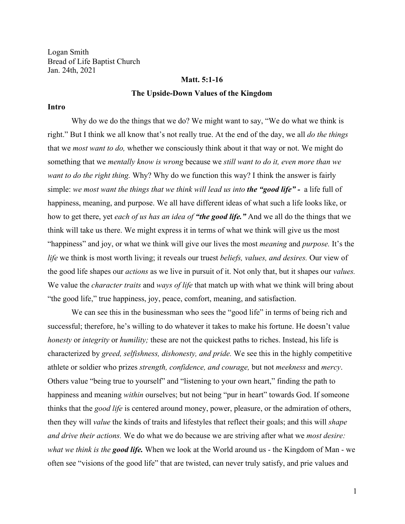Logan Smith Bread of Life Baptist Church Jan. 24th, 2021

#### **Matt. 5:1-16**

#### **The Upside-Down Values of the Kingdom**

#### **Intro**

Why do we do the things that we do? We might want to say, "We do what we think is right." But I think we all know that's not really true. At the end of the day, we all *do the things* that we *most want to do,* whether we consciously think about it that way or not. We might do something that we *mentally know is wrong* because we *still want to do it, even more than we want to do the right thing.* Why? Why do we function this way? I think the answer is fairly simple: *we most want the things that we think will lead us into the "good life" -* a life full of happiness, meaning, and purpose. We all have different ideas of what such a life looks like, or how to get there, yet *each of us has an idea of "the good life."* And we all do the things that we think will take us there. We might express it in terms of what we think will give us the most "happiness" and joy, or what we think will give our lives the most *meaning* and *purpose.* It's the *life* we think is most worth living; it reveals our truest *beliefs, values, and desires.* Our view of the good life shapes our *actions* as we live in pursuit of it. Not only that, but it shapes our *values.* We value the *character traits* and *ways of life* that match up with what we think will bring about "the good life," true happiness, joy, peace, comfort, meaning, and satisfaction.

We can see this in the businessman who sees the "good life" in terms of being rich and successful; therefore, he's willing to do whatever it takes to make his fortune. He doesn't value *honesty* or *integrity* or *humility;* these are not the quickest paths to riches. Instead, his life is characterized by *greed, selfishness, dishonesty, and pride.* We see this in the highly competitive athlete or soldier who prizes *strength, confidence, and courage,* but not *meekness* and *mercy*. Others value "being true to yourself" and "listening to your own heart," finding the path to happiness and meaning *within* ourselves; but not being "pur in heart" towards God. If someone thinks that the *good life* is centered around money, power, pleasure, or the admiration of others, then they will *value* the kinds of traits and lifestyles that reflect their goals; and this will *shape and drive their actions.* We do what we do because we are striving after what we *most desire: what we think is the good life.* When we look at the World around us - the Kingdom of Man - we often see "visions of the good life" that are twisted, can never truly satisfy, and prie values and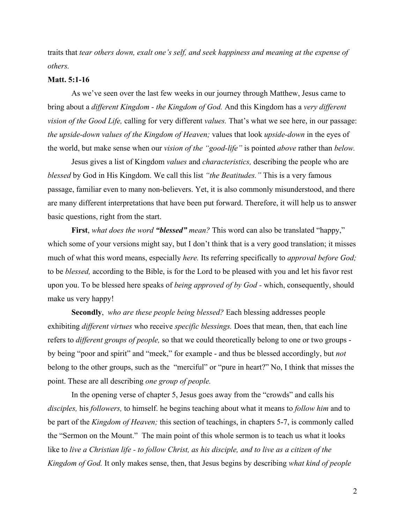traits that *tear others down, exalt one's self, and seek happiness and meaning at the expense of others.*

## **Matt. 5:1-16**

As we've seen over the last few weeks in our journey through Matthew, Jesus came to bring about a *different Kingdom - the Kingdom of God.* And this Kingdom has a *very different vision of the Good Life,* calling for very different *values.* That's what we see here, in our passage: *the upside-down values of the Kingdom of Heaven;* values that look *upside-down* in the eyes of the world, but make sense when our *vision of the "good-life"* is pointed *above* rather than *below.*

Jesus gives a list of Kingdom *values* and *characteristics,* describing the people who are *blessed* by God in His Kingdom. We call this list *"the Beatitudes."* This is a very famous passage, familiar even to many non-believers. Yet, it is also commonly misunderstood, and there are many different interpretations that have been put forward. Therefore, it will help us to answer basic questions, right from the start.

**First**, *what does the word "blessed" mean?* This word can also be translated "happy," which some of your versions might say, but I don't think that is a very good translation; it misses much of what this word means, especially *here.* Its referring specifically to *approval before God;* to be *blessed,* according to the Bible, is for the Lord to be pleased with you and let his favor rest upon you. To be blessed here speaks of *being approved of by God -* which, consequently, should make us very happy!

**Secondly**, *who are these people being blessed?* Each blessing addresses people exhibiting *different virtues* who receive *specific blessings.* Does that mean, then, that each line refers to *different groups of people,* so that we could theoretically belong to one or two groups by being "poor and spirit" and "meek," for example - and thus be blessed accordingly, but *not* belong to the other groups, such as the "merciful" or "pure in heart?" No, I think that misses the point. These are all describing *one group of people.*

In the opening verse of chapter 5, Jesus goes away from the "crowds" and calls his *disciples,* his *followers,* to himself. he begins teaching about what it means to *follow him* and to be part of the *Kingdom of Heaven;* this section of teachings, in chapters 5-7, is commonly called the "Sermon on the Mount." The main point of this whole sermon is to teach us what it looks like to *live a Christian life - to follow Christ, as his disciple, and to live as a citizen of the Kingdom of God.* It only makes sense, then, that Jesus begins by describing *what kind of people*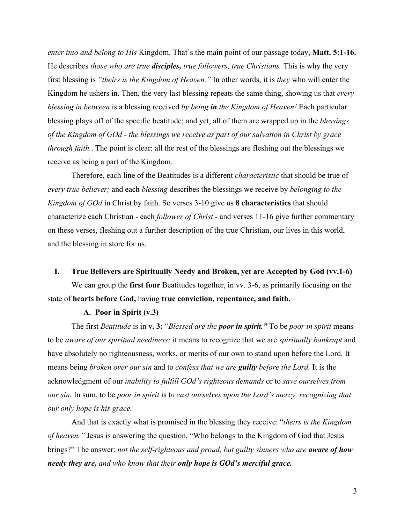*enter into and belong to His* Kingdom. That's the main point of our passage today, **Matt. 5:1-16.** He describes *those who are true disciples, true followers, true Christians.* This is why the very first blessing is *"theirs is the Kingdom of Heaven."* In other words, it is *they* who will enter the Kingdom he ushers in. Then, the very last blessing repeats the same thing, showing us that *every blessing in between* is a blessing received *by being in the Kingdom of Heaven!* Each particular blessing plays off of the specific beatitude; and yet, all of them are wrapped up in the *blessings of the Kingdom of GOd - the blessings we receive as part of our salvation in Christ by grace through faith.*. The point is clear: all the rest of the blessings are fleshing out the blessings we receive as being a part of the Kingdom.

Therefore, each line of the Beatitudes is a different *characteristic* that should be true of *every true believer;* and each *blessing* describes the blessings we receive by *belonging to the Kingdom of GOd* in Christ by faith. So verses 3-10 give us **8 characteristics** that should characterize each Christian - each *follower of Christ -* and verses 11-16 give further commentary on these verses, fleshing out a further description of the true Christian, our lives in this world, and the blessing in store for us.

#### **I. True Believers are Spiritually Needy and Broken, yet are Accepted by God (vv.1-6)**

We can group the **first four** Beatitudes together, in vv. 3-6, as primarily focusing on the state of **hearts before God,** having **true conviction, repentance, and faith.**

## **A. Poor in Spirit (v.3)**

The first *Beatitude* is in **v. 3:** "*Blessed are the poor in spirit."* To be *poor in spirit* means to be *aware of our spiritual neediness;* it means to recognize that we are *spiritually bankrupt* and have absolutely no righteousness, works, or merits of our own to stand upon before the Lord. It means being *broken over our sin* and to *confess that we are guilty before the Lord.* It is the acknowledgment of our *inability to fulfill GOd's righteous demands* or to *save ourselves from our sin.* In sum, to be *poor in spirit* is t*o cast ourselves upon the Lord's mercy, recognizing that our only hope is his grace.*

And that is exactly what is promised in the blessing they receive: "*theirs is the Kingdom of heaven."* Jesus is answering the question, "Who belongs to the Kingdom of God that Jesus brings?" The answer: *not the self-righteous and proud, but guilty sinners who are aware of how needy they are, and who know that their only hope is GOd's merciful grace.*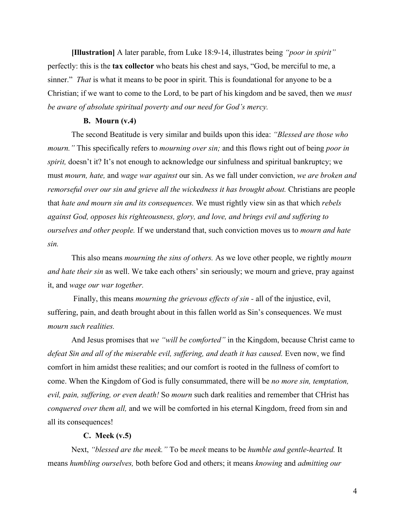**[Illustration]** A later parable, from Luke 18:9-14, illustrates being *"poor in spirit"* perfectly: this is the **tax collector** who beats his chest and says, "God, be merciful to me, a sinner." *That* is what it means to be poor in spirit. This is foundational for anyone to be a Christian; if we want to come to the Lord, to be part of his kingdom and be saved, then we *must be aware of absolute spiritual poverty and our need for God's mercy.*

## **B. Mourn (v.4)**

The second Beatitude is very similar and builds upon this idea: *"Blessed are those who mourn."* This specifically refers to *mourning over sin;* and this flows right out of being *poor in spirit,* doesn't it? It's not enough to acknowledge our sinfulness and spiritual bankruptcy; we must *mourn, hate,* and *wage war against* our sin. As we fall under conviction, *we are broken and remorseful over our sin and grieve all the wickedness it has brought about. Christians are people* that *hate and mourn sin and its consequences.* We must rightly view sin as that which *rebels against God, opposes his righteousness, glory, and love, and brings evil and suffering to ourselves and other people.* If we understand that, such conviction moves us to *mourn and hate sin.*

This also means *mourning the sins of others.* As we love other people, we rightly *mourn and hate their sin* as well. We take each others' sin seriously; we mourn and grieve, pray against it, and *wage our war together.*

 Finally, this means *mourning the grievous effects of sin -* all of the injustice, evil, suffering, pain, and death brought about in this fallen world as Sin's consequences. We must *mourn such realities.*

And Jesus promises that *we "will be comforted"* in the Kingdom, because Christ came to defeat Sin and all of the miserable evil, suffering, and death it has caused. Even now, we find comfort in him amidst these realities; and our comfort is rooted in the fullness of comfort to come. When the Kingdom of God is fully consummated, there will be *no more sin, temptation, evil, pain, suffering, or even death!* So *mourn* such dark realities and remember that CHrist has *conquered over them all,* and we will be comforted in his eternal Kingdom, freed from sin and all its consequences!

#### **C. Meek (v.5)**

Next, *"blessed are the meek."* To be *meek* means to be *humble and gentle-hearted.* It means *humbling ourselves,* both before God and others; it means *knowing* and *admitting our*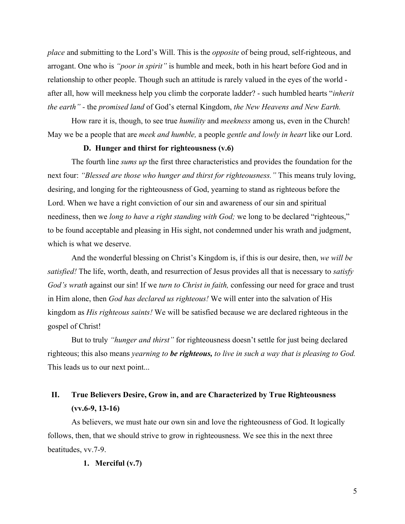*place* and submitting to the Lord's Will. This is the *opposite* of being proud, self-righteous, and arrogant. One who is *"poor in spirit"* is humble and meek, both in his heart before God and in relationship to other people. Though such an attitude is rarely valued in the eyes of the world after all, how will meekness help you climb the corporate ladder? - such humbled hearts "*inherit the earth" -* the *promised land* of God's eternal Kingdom, *the New Heavens and New Earth.*

How rare it is, though, to see true *humility* and *meekness* among us, even in the Church! May we be a people that are *meek and humble,* a people *gentle and lowly in heart* like our Lord.

#### **D. Hunger and thirst for righteousness (v.6)**

The fourth line *sums up* the first three characteristics and provides the foundation for the next four: *"Blessed are those who hunger and thirst for righteousness."* This means truly loving, desiring, and longing for the righteousness of God, yearning to stand as righteous before the Lord. When we have a right conviction of our sin and awareness of our sin and spiritual neediness, then we *long to have a right standing with God;* we long to be declared "righteous," to be found acceptable and pleasing in His sight, not condemned under his wrath and judgment, which is what we deserve.

And the wonderful blessing on Christ's Kingdom is, if this is our desire, then, *we will be satisfied!* The life, worth, death, and resurrection of Jesus provides all that is necessary to *satisfy God's wrath* against our sin! If we *turn to Christ in faith,* confessing our need for grace and trust in Him alone, then *God has declared us righteous!* We will enter into the salvation of His kingdom as *His righteous saints!* We will be satisfied because we are declared righteous in the gospel of Christ!

But to truly *"hunger and thirst"* for righteousness doesn't settle for just being declared righteous; this also means *yearning to be righteous, to live in such a way that is pleasing to God.* This leads us to our next point...

# **II. True Believers Desire, Grow in, and are Characterized by True Righteousness (vv.6-9, 13-16)**

As believers, we must hate our own sin and love the righteousness of God. It logically follows, then, that we should strive to grow in righteousness. We see this in the next three beatitudes, vv.7-9.

### **1. Merciful (v.7)**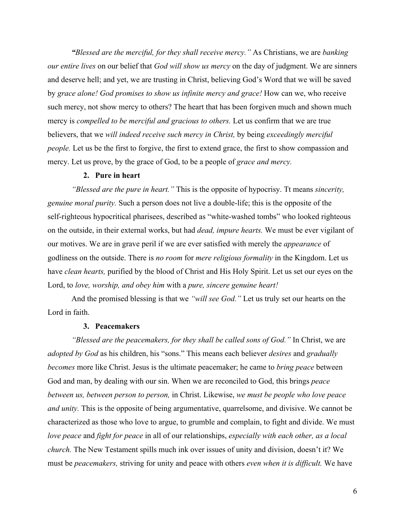*"Blessed are the merciful, for they shall receive mercy."* As Christians, we are *banking our entire lives* on our belief that *God will show us mercy* on the day of judgment. We are sinners and deserve hell; and yet, we are trusting in Christ, believing God's Word that we will be saved by *grace alone! God promises to show us infinite mercy and grace!* How can we, who receive such mercy, not show mercy to others? The heart that has been forgiven much and shown much mercy is *compelled to be merciful and gracious to others.* Let us confirm that we are true believers, that we *will indeed receive such mercy in Christ,* by being *exceedingly merciful people.* Let us be the first to forgive, the first to extend grace, the first to show compassion and mercy. Let us prove, by the grace of God, to be a people of *grace and mercy.*

## **2. Pure in heart**

*"Blessed are the pure in heart."* This is the opposite of hypocrisy. Tt means *sincerity, genuine moral purity.* Such a person does not live a double-life; this is the opposite of the self-righteous hypocritical pharisees, described as "white-washed tombs" who looked righteous on the outside, in their external works, but had *dead, impure hearts.* We must be ever vigilant of our motives. We are in grave peril if we are ever satisfied with merely the *appearance* of godliness on the outside. There is *no room* for *mere religious formality* in the Kingdom. Let us have *clean hearts,* purified by the blood of Christ and His Holy Spirit. Let us set our eyes on the Lord, to *love, worship, and obey him* with a *pure, sincere genuine heart!*

And the promised blessing is that we *"will see God."* Let us truly set our hearts on the Lord in faith.

#### **3. Peacemakers**

*"Blessed are the peacemakers, for they shall be called sons of God."* In Christ, we are *adopted by God* as his children, his "sons." This means each believer *desires* and *gradually becomes* more like Christ. Jesus is the ultimate peacemaker; he came to *bring peace* between God and man, by dealing with our sin. When we are reconciled to God, this brings *peace between us, between person to person,* in Christ. Likewise, *we must be people who love peace and unity.* This is the opposite of being argumentative, quarrelsome, and divisive. We cannot be characterized as those who love to argue, to grumble and complain, to fight and divide. We must *love peace* and *fight for peace* in all of our relationships, *especially with each other, as a local church.* The New Testament spills much ink over issues of unity and division, doesn't it? We must be *peacemakers,* striving for unity and peace with others *even when it is difficult.* We have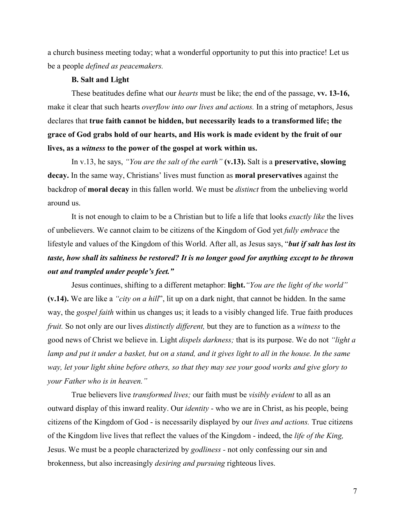a church business meeting today; what a wonderful opportunity to put this into practice! Let us be a people *defined as peacemakers.*

## **B. Salt and Light**

These beatitudes define what our *hearts* must be like; the end of the passage, **vv. 13-16,** make it clear that such hearts *overflow into our lives and actions.* In a string of metaphors, Jesus declares that **true faith cannot be hidden, but necessarily leads to a transformed life; the grace of God grabs hold of our hearts, and His work is made evident by the fruit of our lives, as a** *witness* **to the power of the gospel at work within us.**

In v.13, he says, *"You are the salt of the earth"* **(v.13).** Salt is a **preservative, slowing decay.** In the same way, Christians' lives must function as **moral preservatives** against the backdrop of **moral decay** in this fallen world. We must be *distinct* from the unbelieving world around us.

It is not enough to claim to be a Christian but to life a life that looks *exactly like* the lives of unbelievers. We cannot claim to be citizens of the Kingdom of God yet *fully embrace* the lifestyle and values of the Kingdom of this World. After all, as Jesus says, "*but if salt has lost its taste, how shall its saltiness be restored? It is no longer good for anything except to be thrown out and trampled under people's feet."*

Jesus continues, shifting to a different metaphor: **light.***"You are the light of the world"* **(v.14).** We are like a *"city on a hill*", lit up on a dark night, that cannot be hidden. In the same way, the *gospel faith* within us changes us; it leads to a visibly changed life. True faith produces *fruit.* So not only are our lives *distinctly different,* but they are to function as a *witness* to the good news of Christ we believe in. Light *dispels darkness;* that is its purpose. We do not *"light a lamp and put it under a basket, but on a stand, and it gives light to all in the house. In the same way, let your light shine before others, so that they may see your good works and give glory to your Father who is in heaven."*

True believers live *transformed lives;* our faith must be *visibly evident* to all as an outward display of this inward reality. Our *identity* - who we are in Christ, as his people, being citizens of the Kingdom of God - is necessarily displayed by our *lives and actions.* True citizens of the Kingdom live lives that reflect the values of the Kingdom - indeed, the *life of the King,* Jesus. We must be a people characterized by *godliness -* not only confessing our sin and brokenness, but also increasingly *desiring and pursuing* righteous lives.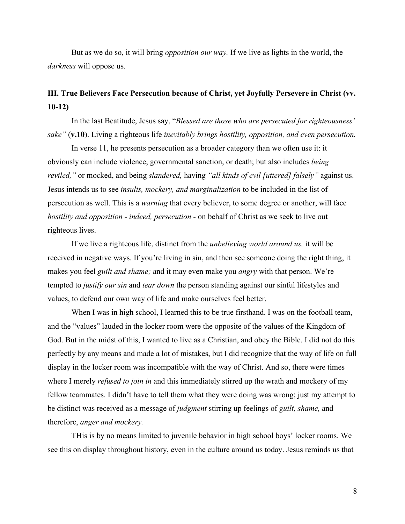But as we do so, it will bring *opposition our way.* If we live as lights in the world, the *darkness* will oppose us.

## **III. True Believers Face Persecution because of Christ, yet Joyfully Persevere in Christ (vv. 10-12)**

In the last Beatitude, Jesus say, "*Blessed are those who are persecuted for righteousness' sake"* (**v.10**). Living a righteous life *inevitably brings hostility, opposition, and even persecution.*

In verse 11, he presents persecution as a broader category than we often use it: it obviously can include violence, governmental sanction, or death; but also includes *being reviled,"* or mocked, and being *slandered,* having *"all kinds of evil [uttered] falsely"* against us. Jesus intends us to see *insults, mockery, and marginalization* to be included in the list of persecution as well. This is a *warning* that every believer, to some degree or another, will face *hostility and opposition - indeed, persecution - on behalf of Christ as we seek to live out* righteous lives.

If we live a righteous life, distinct from the *unbelieving world around us,* it will be received in negative ways. If you're living in sin, and then see someone doing the right thing, it makes you feel *guilt and shame;* and it may even make you *angry* with that person. We're tempted to *justify our sin* and *tear down* the person standing against our sinful lifestyles and values, to defend our own way of life and make ourselves feel better.

When I was in high school, I learned this to be true firsthand. I was on the football team, and the "values" lauded in the locker room were the opposite of the values of the Kingdom of God. But in the midst of this, I wanted to live as a Christian, and obey the Bible. I did not do this perfectly by any means and made a lot of mistakes, but I did recognize that the way of life on full display in the locker room was incompatible with the way of Christ. And so, there were times where I merely *refused to join in* and this immediately stirred up the wrath and mockery of my fellow teammates. I didn't have to tell them what they were doing was wrong; just my attempt to be distinct was received as a message of *judgment* stirring up feelings of *guilt, shame,* and therefore, *anger and mockery.*

THis is by no means limited to juvenile behavior in high school boys' locker rooms. We see this on display throughout history, even in the culture around us today. Jesus reminds us that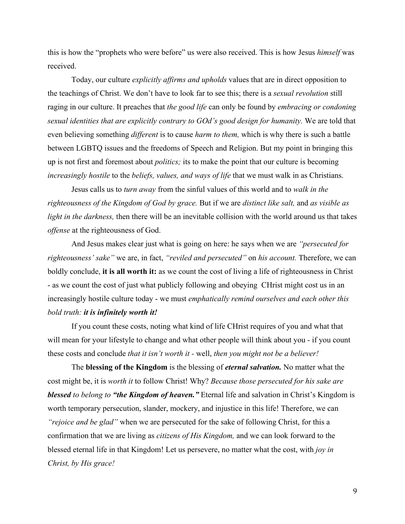this is how the "prophets who were before" us were also received. This is how Jesus *himself* was received.

Today, our culture *explicitly affirms and upholds* values that are in direct opposition to the teachings of Christ. We don't have to look far to see this; there is a *sexual revolution* still raging in our culture. It preaches that *the good life* can only be found by *embracing or condoning sexual identities that are explicitly contrary to GOd's good design for humanity.* We are told that even believing something *different* is to cause *harm to them,* which is why there is such a battle between LGBTQ issues and the freedoms of Speech and Religion. But my point in bringing this up is not first and foremost about *politics;* its to make the point that our culture is becoming *increasingly hostile* to the *beliefs, values, and ways of life* that we must walk in as Christians.

Jesus calls us to *turn away* from the sinful values of this world and to *walk in the righteousness of the Kingdom of God by grace.* But if we are *distinct like salt,* and *as visible as light in the darkness,* then there will be an inevitable collision with the world around us that takes *offense* at the righteousness of God.

And Jesus makes clear just what is going on here: he says when we are *"persecuted for righteousness' sake"* we are, in fact, *"reviled and persecuted"* on *his account.* Therefore, we can boldly conclude, **it is all worth it:** as we count the cost of living a life of righteousness in Christ - as we count the cost of just what publicly following and obeying CHrist might cost us in an increasingly hostile culture today - we must *emphatically remind ourselves and each other this bold truth: it is infinitely worth it!*

If you count these costs, noting what kind of life CHrist requires of you and what that will mean for your lifestyle to change and what other people will think about you - if you count these costs and conclude *that it isn't worth it -* well, *then you might not be a believer!*

The **blessing of the Kingdom** is the blessing of *eternal salvation.* No matter what the cost might be, it is *worth it* to follow Christ! Why? *Because those persecuted for his sake are blessed to belong to "the Kingdom of heaven."* Eternal life and salvation in Christ's Kingdom is worth temporary persecution, slander, mockery, and injustice in this life! Therefore, we can *"rejoice and be glad"* when we are persecuted for the sake of following Christ, for this a confirmation that we are living as *citizens of His Kingdom,* and we can look forward to the blessed eternal life in that Kingdom! Let us persevere, no matter what the cost, with *joy in Christ, by His grace!*